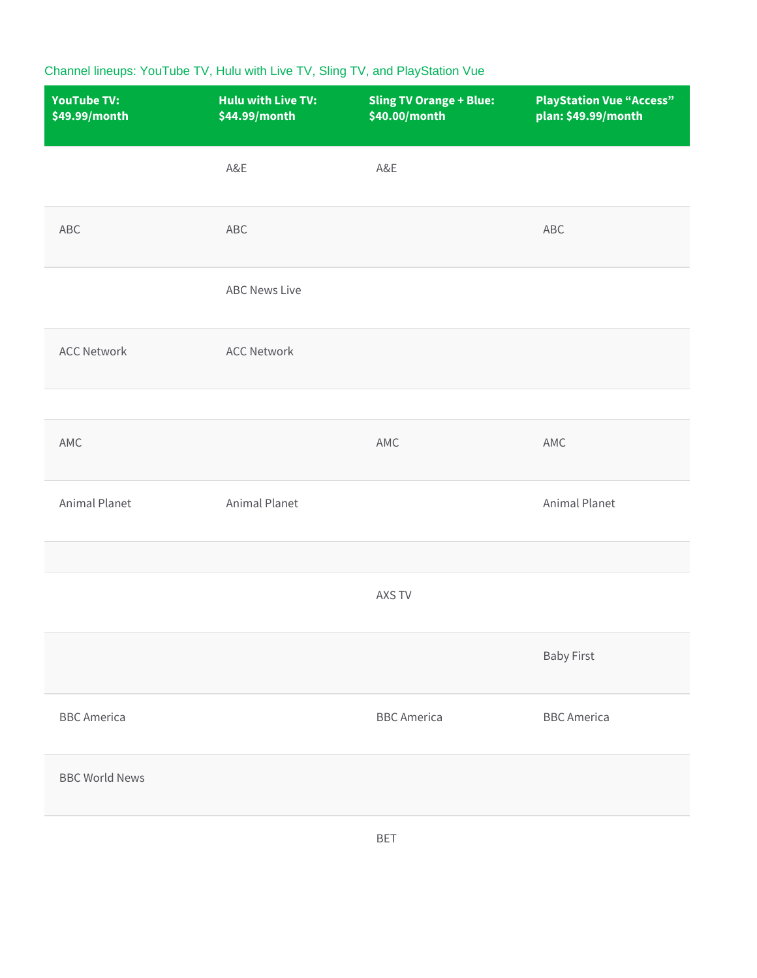## Channel lineups: YouTube TV, Hulu with Live TV, Sling TV, and PlayStation Vue

| <b>YouTube TV:</b><br>\$49.99/month | <b>Hulu with Live TV:</b><br>\$44.99/month | <b>Sling TV Orange + Blue:</b><br>\$40.00/month | <b>PlayStation Vue "Access"</b><br>plan: \$49.99/month |
|-------------------------------------|--------------------------------------------|-------------------------------------------------|--------------------------------------------------------|
|                                     | A&E                                        | A&E                                             |                                                        |
| ABC                                 | ABC                                        |                                                 | ABC                                                    |
|                                     | <b>ABC News Live</b>                       |                                                 |                                                        |
| <b>ACC Network</b>                  | <b>ACC Network</b>                         |                                                 |                                                        |
|                                     |                                            |                                                 |                                                        |
| AMC                                 |                                            | AMC                                             | AMC                                                    |
| Animal Planet                       | Animal Planet                              |                                                 | Animal Planet                                          |
|                                     |                                            |                                                 |                                                        |
|                                     |                                            | AXS TV                                          |                                                        |
|                                     |                                            |                                                 | <b>Baby First</b>                                      |
| <b>BBC</b> America                  |                                            | <b>BBC</b> America                              | <b>BBC</b> America                                     |
| <b>BBC World News</b>               |                                            |                                                 |                                                        |
|                                     |                                            |                                                 |                                                        |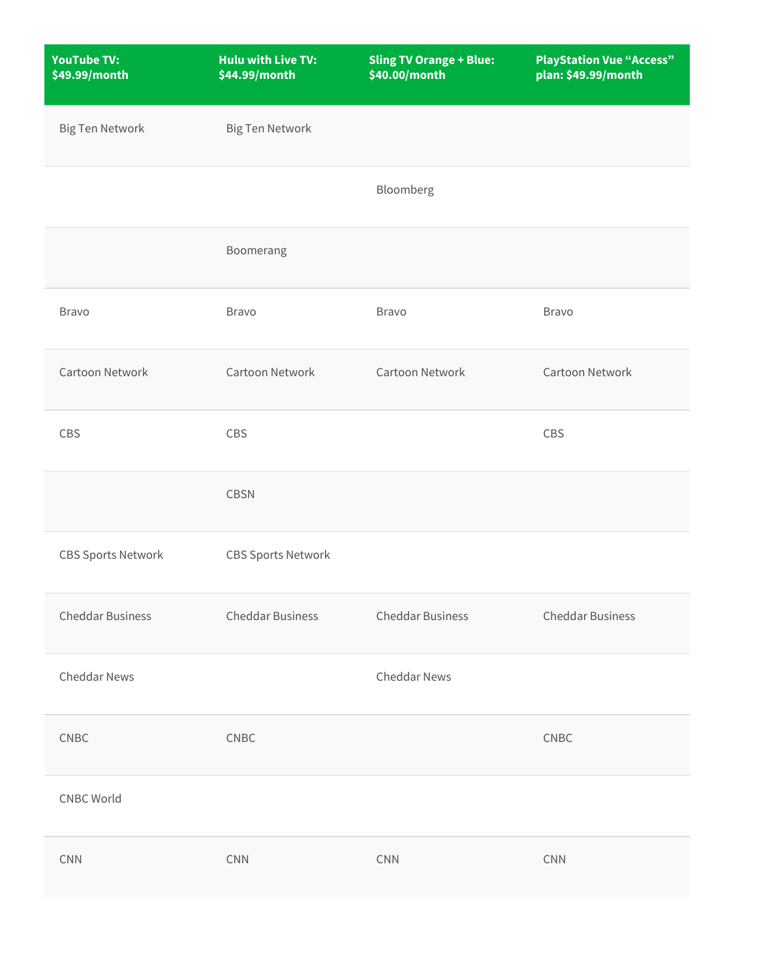| <b>YouTube TV:</b><br>\$49.99/month | <b>Hulu with Live TV:</b><br>\$44.99/month | <b>Sling TV Orange + Blue:</b><br>\$40.00/month | <b>PlayStation Vue "Access"</b><br>plan: \$49.99/month |
|-------------------------------------|--------------------------------------------|-------------------------------------------------|--------------------------------------------------------|
| <b>Big Ten Network</b>              | <b>Big Ten Network</b>                     |                                                 |                                                        |
|                                     |                                            | Bloomberg                                       |                                                        |
|                                     | Boomerang                                  |                                                 |                                                        |
| Bravo                               | <b>Bravo</b>                               | <b>Bravo</b>                                    | <b>Bravo</b>                                           |
| Cartoon Network                     | Cartoon Network                            | Cartoon Network                                 | Cartoon Network                                        |
| CBS                                 | CBS                                        |                                                 | CBS                                                    |
|                                     | <b>CBSN</b>                                |                                                 |                                                        |
| <b>CBS Sports Network</b>           | <b>CBS Sports Network</b>                  |                                                 |                                                        |
| <b>Cheddar Business</b>             | <b>Cheddar Business</b>                    | <b>Cheddar Business</b>                         | <b>Cheddar Business</b>                                |
| <b>Cheddar News</b>                 |                                            | <b>Cheddar News</b>                             |                                                        |
| CNEC                                | CNEC                                       |                                                 | CNEC                                                   |
| <b>CNBC World</b>                   |                                            |                                                 |                                                        |
| CNN                                 | $\mathsf{CNN}$                             | <b>CNN</b>                                      | CNN                                                    |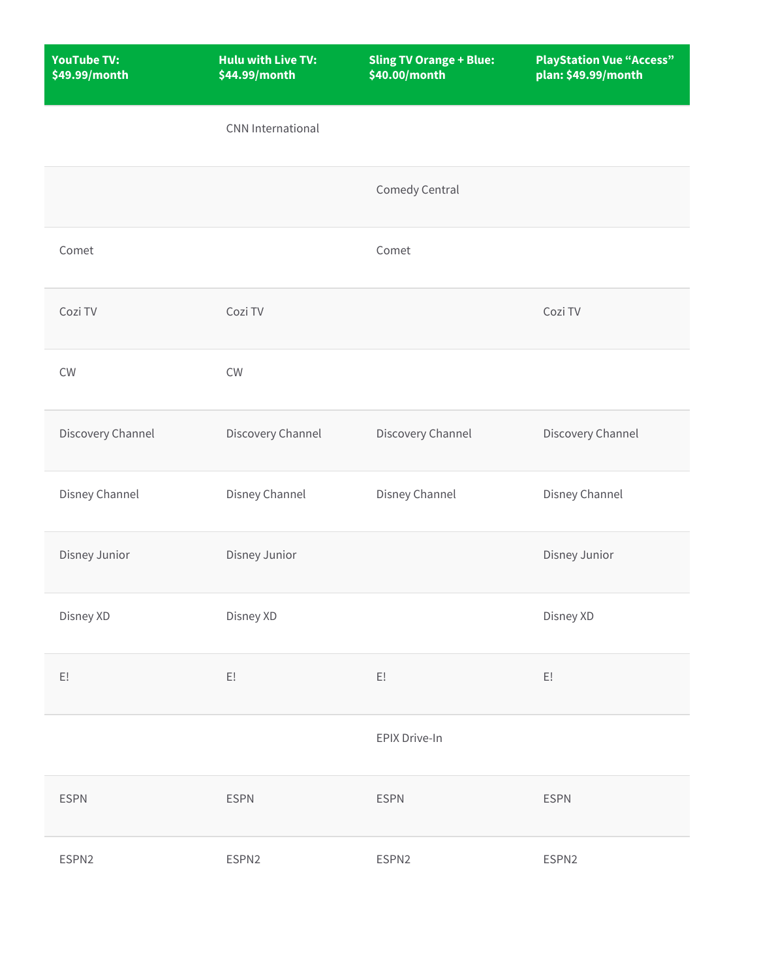| <b>YouTube TV:</b><br>\$49.99/month | <b>Hulu with Live TV:</b><br>\$44.99/month | <b>Sling TV Orange + Blue:</b><br>\$40.00/month | <b>PlayStation Vue "Access"</b><br>plan: \$49.99/month |
|-------------------------------------|--------------------------------------------|-------------------------------------------------|--------------------------------------------------------|
|                                     | <b>CNN</b> International                   |                                                 |                                                        |
|                                     |                                            | Comedy Central                                  |                                                        |
| Comet                               |                                            | Comet                                           |                                                        |
| Cozi TV                             | Cozi TV                                    |                                                 | Cozi TV                                                |
| CW                                  | CW                                         |                                                 |                                                        |
| Discovery Channel                   | Discovery Channel                          | Discovery Channel                               | Discovery Channel                                      |
| Disney Channel                      | Disney Channel                             | Disney Channel                                  | Disney Channel                                         |
| Disney Junior                       | Disney Junior                              |                                                 | Disney Junior                                          |
| Disney XD                           | Disney XD                                  |                                                 | Disney XD                                              |
| $\mathsf{E}!$                       | E!                                         | $\mathsf{E}!$                                   | E!                                                     |
|                                     |                                            | EPIX Drive-In                                   |                                                        |
| <b>ESPN</b>                         | <b>ESPN</b>                                | <b>ESPN</b>                                     | <b>ESPN</b>                                            |
| ESPN2                               | ESPN2                                      | ESPN2                                           | ESPN2                                                  |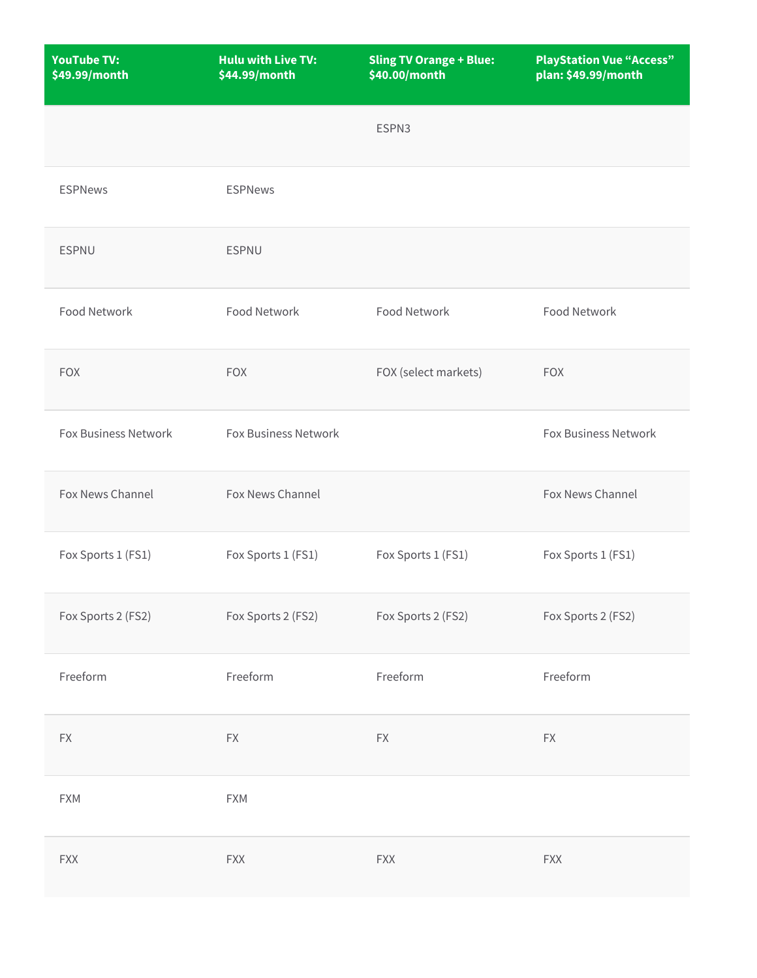| <b>YouTube TV:</b><br>\$49.99/month | <b>Hulu with Live TV:</b><br>\$44.99/month | <b>Sling TV Orange + Blue:</b><br>\$40.00/month | <b>PlayStation Vue "Access"</b><br>plan: \$49.99/month |
|-------------------------------------|--------------------------------------------|-------------------------------------------------|--------------------------------------------------------|
|                                     |                                            | ESPN3                                           |                                                        |
| <b>ESPNews</b>                      | <b>ESPNews</b>                             |                                                 |                                                        |
| <b>ESPNU</b>                        | <b>ESPNU</b>                               |                                                 |                                                        |
| Food Network                        | <b>Food Network</b>                        | Food Network                                    | Food Network                                           |
| <b>FOX</b>                          | <b>FOX</b>                                 | FOX (select markets)                            | <b>FOX</b>                                             |
| Fox Business Network                | Fox Business Network                       |                                                 | Fox Business Network                                   |
| Fox News Channel                    | Fox News Channel                           |                                                 | Fox News Channel                                       |
| Fox Sports 1 (FS1)                  | Fox Sports 1 (FS1)                         | Fox Sports 1 (FS1)                              | Fox Sports 1 (FS1)                                     |
| Fox Sports 2 (FS2)                  | Fox Sports 2 (FS2)                         | Fox Sports 2 (FS2)                              | Fox Sports 2 (FS2)                                     |
| Freeform                            | Freeform                                   | Freeform                                        | Freeform                                               |
| $\mathsf{F}\mathsf{X}$              | $\mathsf{F}\mathsf{X}$                     | $\mathsf{F}\mathsf{X}$                          | $\mathsf{F}\mathsf{X}$                                 |
| <b>FXM</b>                          | <b>FXM</b>                                 |                                                 |                                                        |
| <b>FXX</b>                          | <b>FXX</b>                                 | <b>FXX</b>                                      | <b>FXX</b>                                             |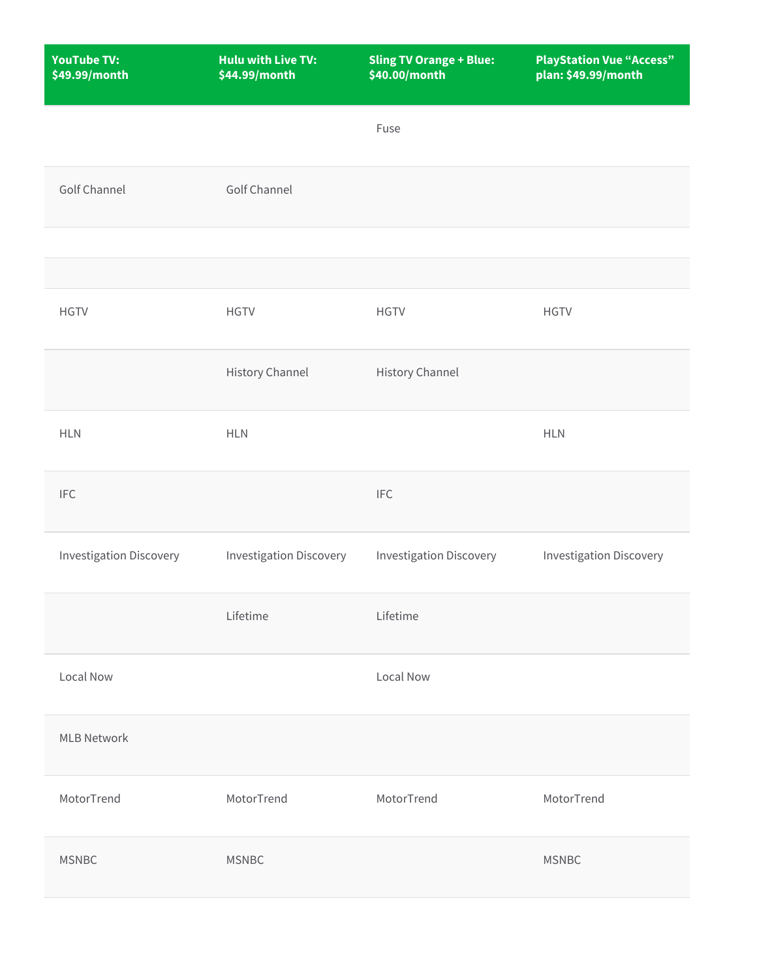| <b>YouTube TV:</b><br>\$49.99/month | <b>Hulu with Live TV:</b><br>\$44.99/month | <b>Sling TV Orange + Blue:</b><br>\$40.00/month | <b>PlayStation Vue "Access"</b><br>plan: \$49.99/month |
|-------------------------------------|--------------------------------------------|-------------------------------------------------|--------------------------------------------------------|
|                                     |                                            | Fuse                                            |                                                        |
| Golf Channel                        | <b>Golf Channel</b>                        |                                                 |                                                        |
|                                     |                                            |                                                 |                                                        |
|                                     |                                            |                                                 |                                                        |
| <b>HGTV</b>                         | <b>HGTV</b>                                | <b>HGTV</b>                                     | <b>HGTV</b>                                            |
|                                     | <b>History Channel</b>                     | <b>History Channel</b>                          |                                                        |
| <b>HLN</b>                          | <b>HLN</b>                                 |                                                 | <b>HLN</b>                                             |
| <b>IFC</b>                          |                                            | <b>IFC</b>                                      |                                                        |
| <b>Investigation Discovery</b>      | <b>Investigation Discovery</b>             | <b>Investigation Discovery</b>                  | <b>Investigation Discovery</b>                         |
|                                     | Lifetime                                   | Lifetime                                        |                                                        |
| Local Now                           |                                            | Local Now                                       |                                                        |
| <b>MLB Network</b>                  |                                            |                                                 |                                                        |
| MotorTrend                          | MotorTrend                                 | MotorTrend                                      | MotorTrend                                             |
| <b>MSNBC</b>                        | <b>MSNBC</b>                               |                                                 | <b>MSNBC</b>                                           |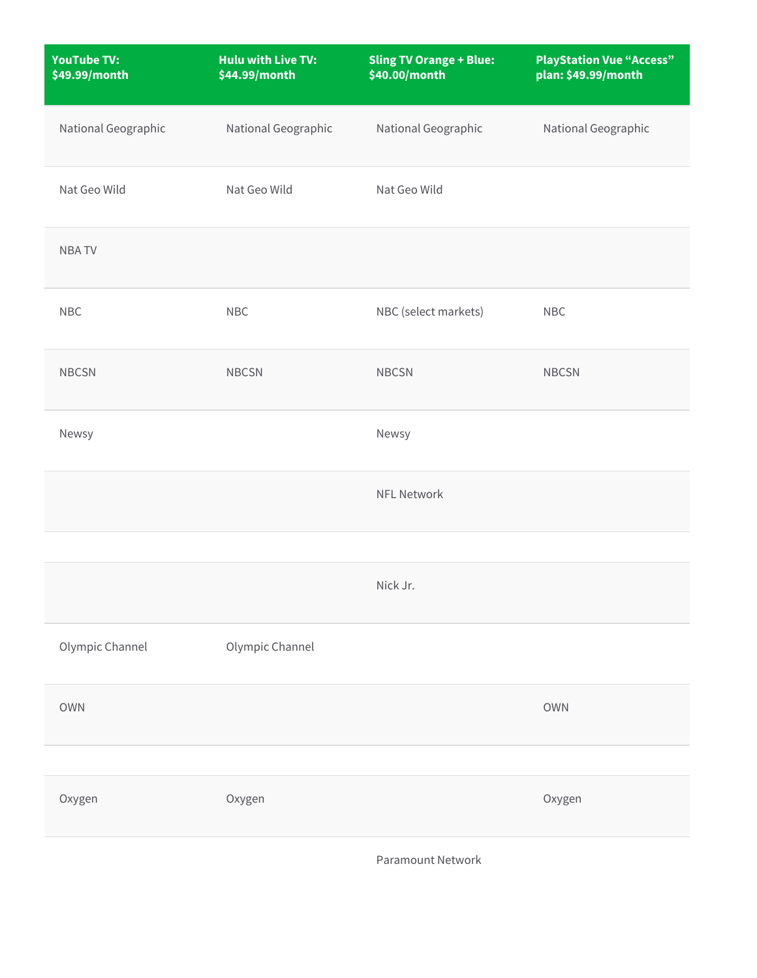| <b>YouTube TV:</b><br>\$49.99/month | <b>Hulu with Live TV:</b><br>\$44.99/month | <b>Sling TV Orange + Blue:</b><br>\$40.00/month | <b>PlayStation Vue "Access"</b><br>plan: \$49.99/month |
|-------------------------------------|--------------------------------------------|-------------------------------------------------|--------------------------------------------------------|
| National Geographic                 | National Geographic                        | National Geographic                             | National Geographic                                    |
| Nat Geo Wild                        | Nat Geo Wild                               | Nat Geo Wild                                    |                                                        |
| <b>NBATV</b>                        |                                            |                                                 |                                                        |
| <b>NBC</b>                          | <b>NBC</b>                                 | NBC (select markets)                            | NBC                                                    |
| <b>NBCSN</b>                        | <b>NBCSN</b>                               | <b>NBCSN</b>                                    | <b>NBCSN</b>                                           |
| Newsy                               |                                            | Newsy                                           |                                                        |
|                                     |                                            | <b>NFL Network</b>                              |                                                        |
|                                     |                                            |                                                 |                                                        |
|                                     |                                            | Nick Jr.                                        |                                                        |
| Olympic Channel                     | Olympic Channel                            |                                                 |                                                        |
| <b>OWN</b>                          |                                            |                                                 | <b>OWN</b>                                             |
|                                     |                                            |                                                 |                                                        |
| Oxygen                              | Oxygen                                     |                                                 | Oxygen                                                 |
|                                     |                                            |                                                 |                                                        |

Paramount Network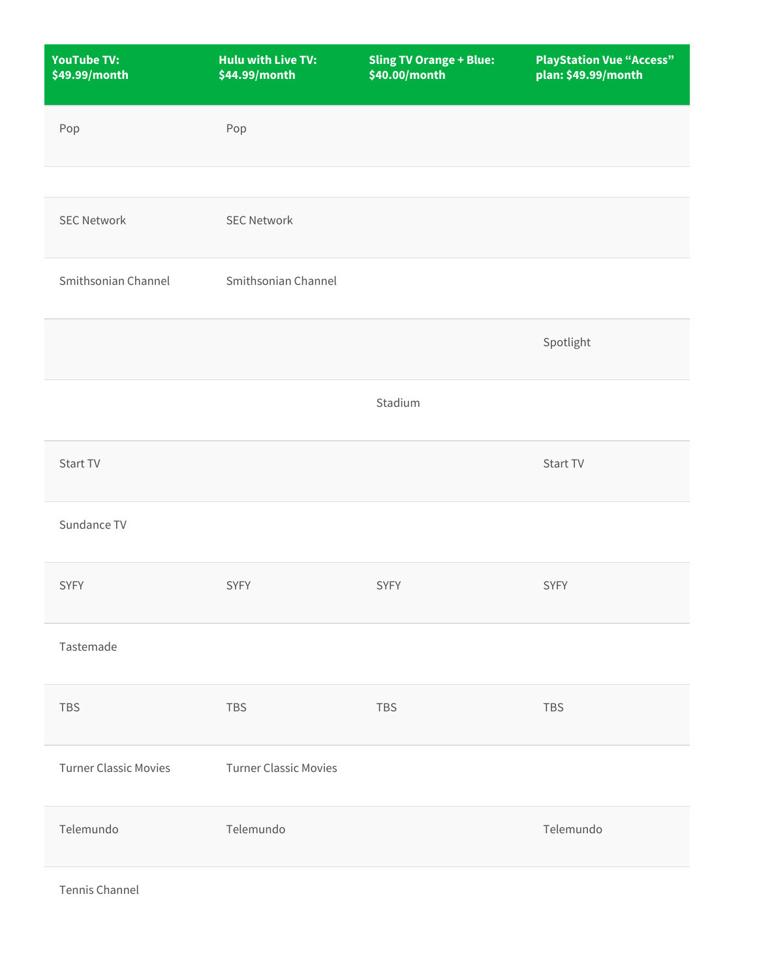| <b>YouTube TV:</b><br>\$49.99/month | <b>Hulu with Live TV:</b><br>\$44.99/month | <b>Sling TV Orange + Blue:</b><br>\$40.00/month | <b>PlayStation Vue "Access"</b><br>plan: \$49.99/month |
|-------------------------------------|--------------------------------------------|-------------------------------------------------|--------------------------------------------------------|
| Pop                                 | Pop                                        |                                                 |                                                        |
|                                     |                                            |                                                 |                                                        |
| <b>SEC Network</b>                  | <b>SEC Network</b>                         |                                                 |                                                        |
| Smithsonian Channel                 | Smithsonian Channel                        |                                                 |                                                        |
|                                     |                                            |                                                 | Spotlight                                              |
|                                     |                                            | Stadium                                         |                                                        |
| Start TV                            |                                            |                                                 | Start TV                                               |
| Sundance TV                         |                                            |                                                 |                                                        |
| <b>SYFY</b>                         | <b>SYFY</b>                                | <b>SYFY</b>                                     | <b>SYFY</b>                                            |
| Tastemade                           |                                            |                                                 |                                                        |
| TBS                                 | TBS                                        | <b>TBS</b>                                      | TBS                                                    |
| <b>Turner Classic Movies</b>        | <b>Turner Classic Movies</b>               |                                                 |                                                        |
| Telemundo                           | Telemundo                                  |                                                 | Telemundo                                              |
| Tennis Channel                      |                                            |                                                 |                                                        |